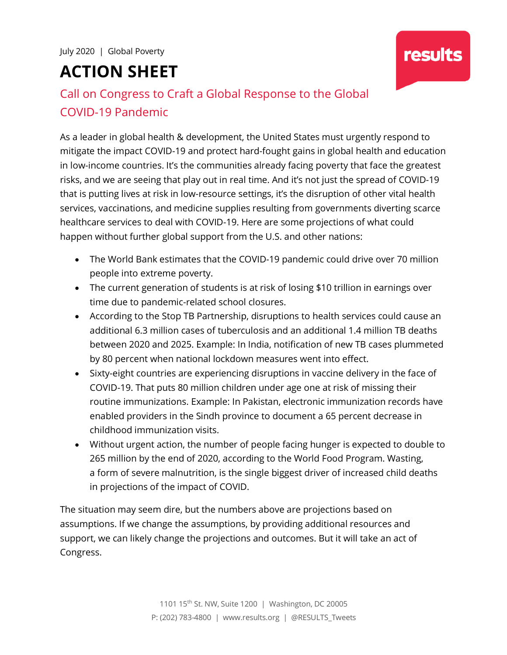# **ACTION SHEET**

# Call on Congress to Craft a Global Response to the Global COVID-19 Pandemic

As a leader in global health & development, the United States must urgently respond to mitigate the impact COVID-19 and protect hard-fought gains in global health and education in low-income countries. It's the communities already facing poverty that face the greatest risks, and we are seeing that play out in real time. And it's not just the spread of COVID-19 that is putting lives at risk in low-resource settings, it's the disruption of other vital health services, vaccinations, and medicine supplies resulting from governments diverting scarce healthcare services to deal with COVID-19. Here are some projections of what could happen without further global support from the U.S. and other nations:

- The World Bank estimates that the COVID-19 pandemic could drive over 70 million people into extreme poverty.
- The current generation of students is at risk of losing \$10 trillion in earnings over time due to pandemic-related school closures.
- According to the Stop TB Partnership, disruptions to health services could cause an additional 6.3 million cases of tuberculosis and an additional 1.4 million TB deaths between 2020 and 2025. Example: In India, notification of new TB cases plummeted by 80 percent when national lockdown measures went into effect.
- Sixty-eight countries are experiencing disruptions in vaccine delivery in the face of COVID-19. That puts 80 million children under age one at risk of missing their routine immunizations. Example: In Pakistan, electronic immunization records have enabled providers in the Sindh province to document a 65 percent decrease in childhood immunization visits.
- Without urgent action, the number of people facing hunger is expected to double to 265 million by the end of 2020, according to the World Food Program. Wasting, a form of severe malnutrition, is the single biggest driver of increased child deaths in projections of the impact of COVID.

The situation may seem dire, but the numbers above are projections based on assumptions. If we change the assumptions, by providing additional resources and support, we can likely change the projections and outcomes. But it will take an act of Congress.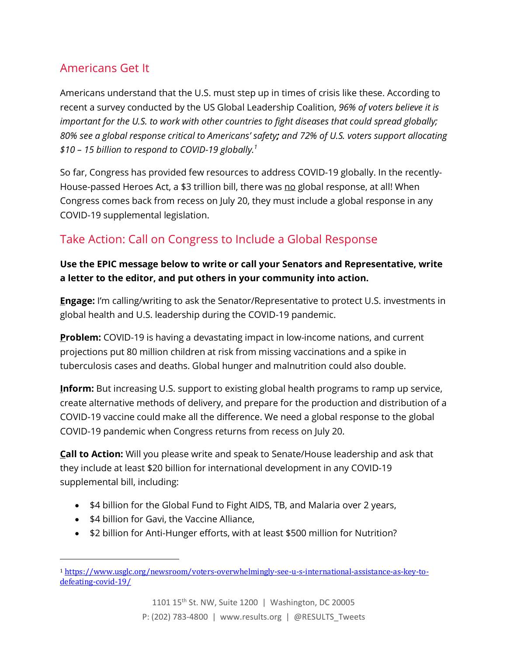# Americans Get It

Americans understand that the U.S. must step up in times of crisis like these. According to recent a survey conducted by the US Global Leadership Coalition, *96% of voters believe it is important for the U.S. to work with other countries to fight diseases that could spread globally; 80% see a global response critical to Americans' safety; and 72% of U.S. voters support allocating \$10 – 15 billion to respond to COVID-19 globally.1*

So far, Congress has provided few resources to address COVID-19 globally. In the recently-House-passed Heroes Act, a \$3 trillion bill, there was no global response, at all! When Congress comes back from recess on July 20, they must include a global response in any COVID-19 supplemental legislation.

### Take Action: Call on Congress to Include a Global Response

#### **Use the EPIC message below to write or call your Senators and Representative, write a letter to the editor, and put others in your community into action.**

**Engage:** I'm calling/writing to ask the Senator/Representative to protect U.S. investments in global health and U.S. leadership during the COVID-19 pandemic.

**Problem:** COVID-19 is having a devastating impact in low-income nations, and current projections put 80 million children at risk from missing vaccinations and a spike in tuberculosis cases and deaths. Global hunger and malnutrition could also double.

**Inform:** But increasing U.S. support to existing global health programs to ramp up service, create alternative methods of delivery, and prepare for the production and distribution of a COVID-19 vaccine could make all the difference. We need a global response to the global COVID-19 pandemic when Congress returns from recess on July 20.

**Call to Action:** Will you please write and speak to Senate/House leadership and ask that they include at least \$20 billion for international development in any COVID-19 supplemental bill, including:

- \$4 billion for the Global Fund to Fight AIDS, TB, and Malaria over 2 years,
- \$4 billion for Gavi, the Vaccine Alliance,

 

• \$2 billion for Anti-Hunger efforts, with at least \$500 million for Nutrition?

<sup>1</sup> https://www.usglc.org/newsroom/voters-overwhelmingly-see-u-s-international-assistance-as-key-todefeating-covid-19/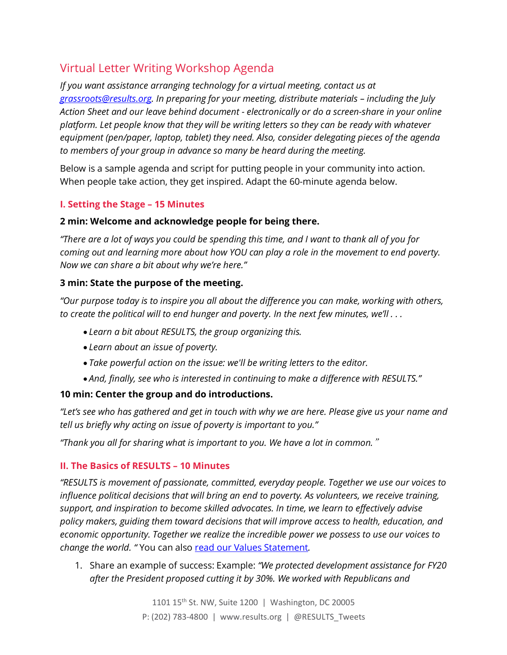## Virtual Letter Writing Workshop Agenda

*If you want assistance arranging technology for a virtual meeting, contact us at grassroots@results.org. In preparing for your meeting, distribute materials – including the July Action Sheet and our leave behind document - electronically or do a screen-share in your online platform. Let people know that they will be writing letters so they can be ready with whatever equipment (pen/paper, laptop, tablet) they need. Also, consider delegating pieces of the agenda to members of your group in advance so many be heard during the meeting.* 

Below is a sample agenda and script for putting people in your community into action. When people take action, they get inspired. Adapt the 60-minute agenda below.

#### **I. Setting the Stage – 15 Minutes**

#### **2 min: Welcome and acknowledge people for being there.**

*"There are a lot of ways you could be spending this time, and I want to thank all of you for coming out and learning more about how YOU can play a role in the movement to end poverty. Now we can share a bit about why we're here."*

#### **3 min: State the purpose of the meeting.**

*"Our purpose today is to inspire you all about the difference you can make, working with others, to create the political will to end hunger and poverty. In the next few minutes, we'll . . .* 

- *Learn a bit about RESULTS, the group organizing this.*
- *Learn about an issue of poverty.*
- *Take powerful action on the issue: we'll be writing letters to the editor.*
- *And, finally, see who is interested in continuing to make a difference with RESULTS."*

#### **10 min: Center the group and do introductions.**

*"Let's see who has gathered and get in touch with why we are here. Please give us your name and tell us briefly why acting on issue of poverty is important to you."*

*"Thank you all for sharing what is important to you. We have a lot in common.*"

#### **II. The Basics of RESULTS – 10 Minutes**

*"RESULTS is movement of passionate, committed, everyday people. Together we use our voices to influence political decisions that will bring an end to poverty. As volunteers, we receive training, support, and inspiration to become skilled advocates. In time, we learn to effectively advise policy makers, guiding them toward decisions that will improve access to health, education, and economic opportunity. Together we realize the incredible power we possess to use our voices to change the world. "* You can also read our Values Statement*.*

1. Share an example of success: Example: *"We protected development assistance for FY20 after the President proposed cutting it by 30%. We worked with Republicans and*